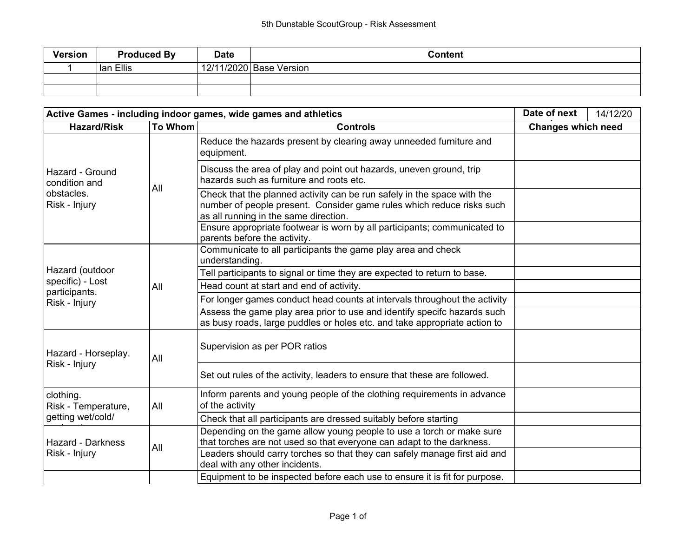| <b>Version</b> | <b>Produced By</b> | <b>Date</b> | <b>Content</b>          |
|----------------|--------------------|-------------|-------------------------|
|                | Ian Ellis          |             | 12/11/2020 Base Version |
|                |                    |             |                         |
|                |                    |             |                         |

| Active Games - including indoor games, wide games and athletics |     |                                                                                                                                                                                           |                           | 14/12/20 |
|-----------------------------------------------------------------|-----|-------------------------------------------------------------------------------------------------------------------------------------------------------------------------------------------|---------------------------|----------|
| <b>Hazard/Risk</b><br><b>To Whom</b><br><b>Controls</b>         |     |                                                                                                                                                                                           | <b>Changes which need</b> |          |
|                                                                 |     | Reduce the hazards present by clearing away unneeded furniture and<br>equipment.                                                                                                          |                           |          |
| Hazard - Ground<br>condition and                                |     | Discuss the area of play and point out hazards, uneven ground, trip<br>hazards such as furniture and roots etc.                                                                           |                           |          |
| obstacles.<br>Risk - Injury                                     | All | Check that the planned activity can be run safely in the space with the<br>number of people present. Consider game rules which reduce risks such<br>as all running in the same direction. |                           |          |
|                                                                 |     | Ensure appropriate footwear is worn by all participants; communicated to<br>parents before the activity.                                                                                  |                           |          |
|                                                                 | All | Communicate to all participants the game play area and check<br>understanding.                                                                                                            |                           |          |
| Hazard (outdoor                                                 |     | Tell participants to signal or time they are expected to return to base.                                                                                                                  |                           |          |
| specific) - Lost<br>participants.                               |     | Head count at start and end of activity.                                                                                                                                                  |                           |          |
| Risk - Injury                                                   |     | For longer games conduct head counts at intervals throughout the activity                                                                                                                 |                           |          |
|                                                                 |     | Assess the game play area prior to use and identify specifc hazards such<br>as busy roads, large puddles or holes etc. and take appropriate action to                                     |                           |          |
| Hazard - Horseplay.                                             | All | Supervision as per POR ratios                                                                                                                                                             |                           |          |
| Risk - Injury                                                   |     | Set out rules of the activity, leaders to ensure that these are followed.                                                                                                                 |                           |          |
| clothing.<br>Risk - Temperature,                                | All | Inform parents and young people of the clothing requirements in advance<br>of the activity                                                                                                |                           |          |
| getting wet/cold/                                               |     | Check that all participants are dressed suitably before starting                                                                                                                          |                           |          |
| Hazard - Darkness                                               | All | Depending on the game allow young people to use a torch or make sure<br>that torches are not used so that everyone can adapt to the darkness.                                             |                           |          |
| Risk - Injury                                                   |     | Leaders should carry torches so that they can safely manage first aid and<br>deal with any other incidents.                                                                               |                           |          |
|                                                                 |     | Equipment to be inspected before each use to ensure it is fit for purpose.                                                                                                                |                           |          |